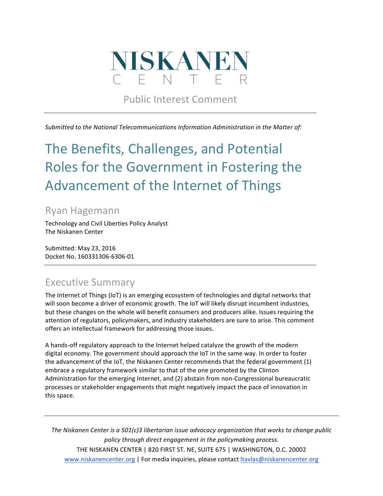

Public Interest Comment

Submitted to the National Telecommunications Information Administration in the Matter of:

# The Benefits, Challenges, and Potential Roles for the Government in Fostering the Advancement of the Internet of Things

### Ryan Hagemann

Technology and Civil Liberties Policy Analyst The Niskanen Center

Submitted: May 23, 2016 Docket No. 160331306-6306-01

## **Executive Summary**

The Internet of Things (IoT) is an emerging ecosystem of technologies and digital networks that will soon become a driver of economic growth. The IoT will likely disrupt incumbent industries, but these changes on the whole will benefit consumers and producers alike. Issues requiring the attention of regulators, policymakers, and industry stakeholders are sure to arise. This comment offers an intellectual framework for addressing those issues.

A hands-off regulatory approach to the Internet helped catalyze the growth of the modern digital economy. The government should approach the IoT in the same way. In order to foster the advancement of the IoT, the Niskanen Center recommends that the federal government  $(1)$ embrace a regulatory framework similar to that of the one promoted by the Clinton Administration for the emerging Internet, and (2) abstain from non-Congressional bureaucratic processes or stakeholder engagements that might negatively impact the pace of innovation in this space.

The Niskanen Center is a 501(c)3 libertarian issue advocacy organization that works to change public policy through direct engagement in the policymaking process. THE NISKANEN CENTER | 820 FIRST ST. NE, SUITE 675 | WASHINGTON, D.C. 20002 www.niskanencenter.org | For media inquiries, please contact ltavlas@niskanencenter.org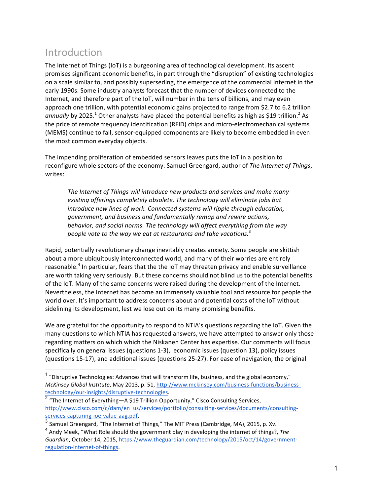# Introduction

The Internet of Things (IoT) is a burgeoning area of technological development. Its ascent promises significant economic benefits, in part through the "disruption" of existing technologies on a scale similar to, and possibly superseding, the emergence of the commercial Internet in the early 1990s. Some industry analysts forecast that the number of devices connected to the Internet, and therefore part of the IoT, will number in the tens of billions, and may even approach one trillion, with potential economic gains projected to range from \$2.7 to 6.2 trillion *annually* by 2025.<sup>1</sup> Other analysts have placed the potential benefits as high as \$19 trillion.<sup>2</sup> As the price of remote frequency identification (RFID) chips and micro-electromechanical systems (MEMS) continue to fall, sensor-equipped components are likely to become embedded in even the most common everyday objects.

The impending proliferation of embedded sensors leaves puts the IoT in a position to reconfigure whole sectors of the economy. Samuel Greengard, author of *The Internet of Things*, writes:

The Internet of Things will introduce new products and services and make many existing offerings completely obsolete. The technology will eliminate jobs but *introduce new lines of work. Connected systems will ripple through education,* government, and business and fundamentally remap and rewire actions, behavior, and social norms. The technology will affect everything from the way *people vote to the way we eat at restaurants and take vacations.*<sup>3</sup>

Rapid, potentially revolutionary change inevitably creates anxiety. Some people are skittish about a more ubiquitously interconnected world, and many of their worries are entirely reasonable.<sup>4</sup> In particular, fears that the the IoT may threaten privacy and enable surveillance are worth taking very seriously. But these concerns should not blind us to the potential benefits of the IoT. Many of the same concerns were raised during the development of the Internet. Nevertheless, the Internet has become an immensely valuable tool and resource for people the world over. It's important to address concerns about and potential costs of the IoT without sidelining its development, lest we lose out on its many promising benefits.

We are grateful for the opportunity to respond to NTIA's questions regarding the IoT. Given the many questions to which NTIA has requested answers, we have attempted to answer only those regarding matters on which which the Niskanen Center has expertise. Our comments will focus specifically on general issues (questions 1-3), economic issues (question 13), policy issues (questions 15-17), and additional issues (questions 25-27). For ease of navigation, the original

 $1$  "Disruptive Technologies: Advances that will transform life, business, and the global economy," *McKinsey Global Institute*, May 2013, p. 51, http://www.mckinsey.com/business-functions/businesstechnology/our-insights/disruptive-technologies.

 $\overline{2}$  "The Internet of Everything—A \$19 Trillion Opportunity," Cisco Consulting Services, http://www.cisco.com/c/dam/en\_us/services/portfolio/consulting-services/documents/consultingservices-capturing-ioe-value-aag.pdf. 

Samuel Greengard, "The Internet of Things," The MIT Press (Cambridge, MA), 2015, p. Xv. <sup>4</sup> Andv Meek, "What Role should the government play in developing the internet of things?, The

Guardian, October 14, 2015, https://www.theguardian.com/technology/2015/oct/14/governmentregulation-internet-of-things.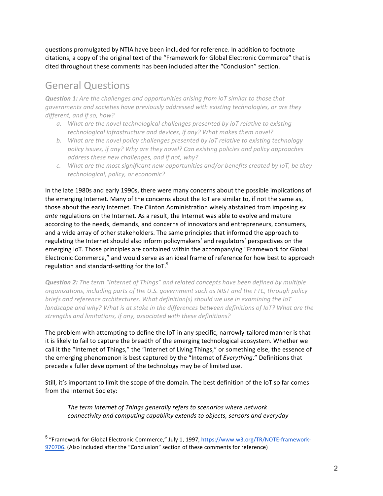questions promulgated by NTIA have been included for reference. In addition to footnote citations, a copy of the original text of the "Framework for Global Electronic Commerce" that is cited throughout these comments has been included after the "Conclusion" section.

# General Questions

**Question 1:** Are the challenges and opportunities arising from ioT similar to those that governments and societies have previously addressed with existing technologies, or are they different, and if so, how?

- a. What are the novel technological challenges presented by IoT relative to existing *technological infrastructure and devices, if any? What makes them novel?*
- **b.** What are the novel policy challenges presented by IoT relative to existing technology policy issues, if any? Why are they novel? Can existing policies and policy approaches address these new challenges, and if not, why?
- *c.* What are the most significant new opportunities and/or benefits created by IoT, be they *technological, policy, or economic?*

In the late 1980s and early 1990s, there were many concerns about the possible implications of the emerging Internet. Many of the concerns about the IoT are similar to, if not the same as, those about the early Internet. The Clinton Administration wisely abstained from imposing ex *ante* regulations on the Internet. As a result, the Internet was able to evolve and mature according to the needs, demands, and concerns of innovators and entrepreneurs, consumers, and a wide array of other stakeholders. The same principles that informed the approach to regulating the Internet should also inform policymakers' and regulators' perspectives on the emerging IoT. Those principles are contained within the accompanying "Framework for Global Electronic Commerce," and would serve as an ideal frame of reference for how best to approach regulation and standard-setting for the IoT.<sup>5</sup>

**Question 2:** The term "Internet of Things" and related concepts have been defined by multiple *organizations, including parts of the U.S. government such as NIST and the FTC, through policy briefs* and reference architectures. What definition(s) should we use in examining the IoT *landscape and why? What is at stake in the differences between definitions of IoT? What are the* strengths and limitations, if any, associated with these definitions?

The problem with attempting to define the IoT in any specific, narrowly-tailored manner is that it is likely to fail to capture the breadth of the emerging technological ecosystem. Whether we call it the "Internet of Things," the "Internet of Living Things," or something else, the essence of the emerging phenomenon is best captured by the "Internet of *Everything*." Definitions that precede a fuller development of the technology may be of limited use.

Still, it's important to limit the scope of the domain. The best definition of the IoT so far comes from the Internet Society:

The term Internet of Things generally refers to scenarios where network *connectivity* and *computing capability extends to objects, sensors and everyday* 

<sup>&</sup>lt;sup>5</sup> "Framework for Global Electronic Commerce," July 1, 1997, https://www.w3.org/TR/NOTE-framework-970706. (Also included after the "Conclusion" section of these comments for reference)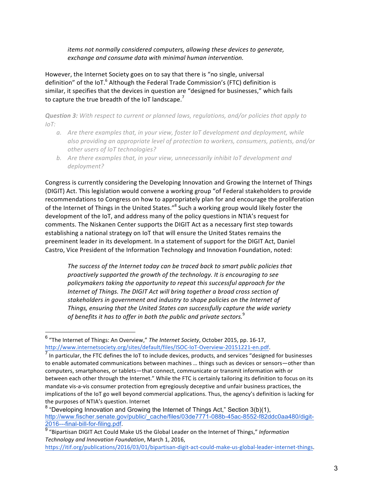*items not normally considered computers, allowing these devices to generate,* exchange and consume data with minimal human intervention.

However, the Internet Society goes on to say that there is "no single, universal definition" of the IoT. $^6$  Although the Federal Trade Commission's (FTC) definition is similar, it specifies that the devices in question are "designed for businesses," which fails to capture the true breadth of the IoT landscape.<sup>7</sup>

**Question 3:** With respect to current or planned laws, regulations, and/or policies that apply to *IoT:*

- a. Are there examples that, in your view, foster IoT development and deployment, while also providing an appropriate level of protection to workers, consumers, patients, and/or other users of IoT technologies?
- b. Are there examples that, in your view, unnecessarily inhibit IoT development and *deployment?*

Congress is currently considering the Developing Innovation and Growing the Internet of Things (DIGIT) Act. This legislation would convene a working group "of Federal stakeholders to provide recommendations to Congress on how to appropriately plan for and encourage the proliferation of the Internet of Things in the United States."<sup>8</sup> Such a working group would likely foster the development of the IoT, and address many of the policy questions in NTIA's request for comments. The Niskanen Center supports the DIGIT Act as a necessary first step towards establishing a national strategy on IoT that will ensure the United States remains the preeminent leader in its development. In a statement of support for the DIGIT Act, Daniel Castro, Vice President of the Information Technology and Innovation Foundation, noted:

The success of the Internet today can be traced back to smart public policies that proactively supported the growth of the technology. It is encouraging to see policymakers taking the opportunity to repeat this successful approach for the *Internet of Things. The DIGIT Act will bring together a broad cross section of* stakeholders in government and industry to shape policies on the Internet of Things, ensuring that the United States can successfully capture the wide variety of benefits it has to offer in both the public and private sectors.<sup>9</sup>

<sup>&</sup>lt;sup>6</sup> "The Internet of Things: An Overview," The Internet Society, October 2015, pp. 16-17, http://www.internetsociety.org/sites/default/files/ISOC-IoT-Overview-20151221-en.pdf. 

 $<sup>7</sup>$  In particular, the FTC defines the IoT to include devices, products, and services "designed for businesses</sup> to enable automated communications between machines ... things such as devices or sensors—other than computers, smartphones, or tablets—that connect, communicate or transmit information with or between each other through the Internet." While the FTC is certainly tailoring its definition to focus on its mandate vis-a-vis consumer protection from egregiously deceptive and unfair business practices, the implications of the IoT go well beyond commercial applications. Thus, the agency's definition is lacking for the purposes of NTIA's question. Internet

 $8$  "Developing Innovation and Growing the Internet of Things Act," Section 3(b)(1), http://www.fischer.senate.gov/public/\_cache/files/03de7771-088b-45ac-8552-f82ddc0aa480/digit-<br>2016---final-bill-for-filing.pdf.

<sup>&</sup>lt;sup>9</sup> "Bipartisan DIGIT Act Could Make US the Global Leader on the Internet of Things," Information *Technology and Innovation Foundation*, March 1, 2016, 

https://itif.org/publications/2016/03/01/bipartisan-digit-act-could-make-us-global-leader-internet-things.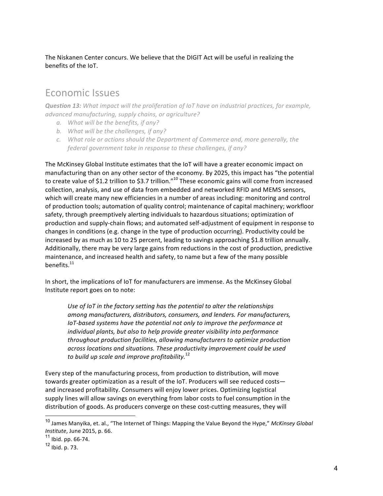The Niskanen Center concurs. We believe that the DIGIT Act will be useful in realizing the benefits of the IoT.

# Economic Issues

**Question 13:** What impact will the proliferation of IoT have on industrial practices, for example, *advanced manufacturing, supply chains, or agriculture?*

- *a. What will be the benefits, if any?*
- **b.** What will be the challenges, if any?
- *c.* What role or actions should the Department of Commerce and, more generally, the *federal government take in response to these challenges, if any?*

The McKinsey Global Institute estimates that the IoT will have a greater economic impact on manufacturing than on any other sector of the economy. By 2025, this impact has "the potential to create value of \$1.2 trillion to \$3.7 trillion."<sup>10</sup> These economic gains will come from increased collection, analysis, and use of data from embedded and networked RFID and MEMS sensors, which will create many new efficiencies in a number of areas including: monitoring and control of production tools; automation of quality control; maintenance of capital machinery; workfloor safety, through preemptively alerting individuals to hazardous situations; optimization of production and supply-chain flows; and automated self-adjustment of equipment in response to changes in conditions (e.g. change in the type of production occurring). Productivity could be increased by as much as 10 to 25 percent, leading to savings approaching \$1.8 trillion annually. Additionally, there may be very large gains from reductions in the cost of production, predictive maintenance, and increased health and safety, to name but a few of the many possible benefits.<sup>11</sup>

In short, the implications of IoT for manufacturers are immense. As the McKinsey Global Institute report goes on to note:

Use of IoT in the factory setting has the potential to alter the relationships among manufacturers, distributors, consumers, and lenders. For manufacturers, *IoT-based systems have the potential not only to improve the performance at individual plants, but also to help provide greater visibility into performance* throughout production facilities, allowing manufacturers to optimize production across locations and situations. These productivity improvement could be used to build up scale and improve profitability.<sup>12</sup>

Every step of the manufacturing process, from production to distribution, will move towards greater optimization as a result of the IoT. Producers will see reduced costs and increased profitability. Consumers will enjoy lower prices. Optimizing logistical supply lines will allow savings on everything from labor costs to fuel consumption in the distribution of goods. As producers converge on these cost-cutting measures, they will

<sup>&</sup>lt;sup>10</sup> James Manyika, et. al., "The Internet of Things: Mapping the Value Beyond the Hype," McKinsey Global *Institute*, June 2015, p. 66.

 $11$  Ibid. pp. 66-74.

 $12$  Ibid. p. 73.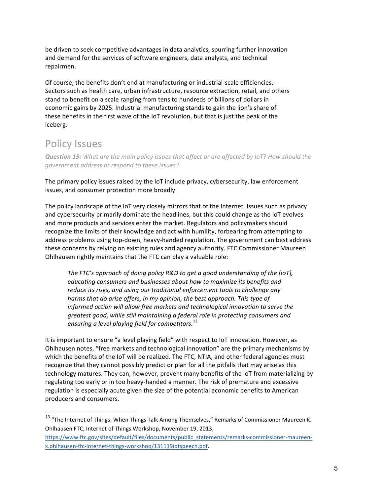be driven to seek competitive advantages in data analytics, spurring further innovation and demand for the services of software engineers, data analysts, and technical repairmen.

Of course, the benefits don't end at manufacturing or industrial-scale efficiencies. Sectors such as health care, urban infrastructure, resource extraction, retail, and others stand to benefit on a scale ranging from tens to hundreds of billions of dollars in economic gains by 2025. Industrial manufacturing stands to gain the lion's share of these benefits in the first wave of the IoT revolution, but that is just the peak of the iceberg.

# **Policy Issues**

**Question 15:** What are the main policy issues that affect or are affected by IoT? How should the *government address or respond to these issues?*

The primary policy issues raised by the IoT include privacy, cybersecurity, law enforcement issues, and consumer protection more broadly.

The policy landscape of the IoT very closely mirrors that of the Internet. Issues such as privacy and cybersecurity primarily dominate the headlines, but this could change as the IoT evolves and more products and services enter the market. Regulators and policymakers should recognize the limits of their knowledge and act with humility, forbearing from attempting to address problems using top-down, heavy-handed regulation. The government can best address these concerns by relying on existing rules and agency authority. FTC Commissioner Maureen Ohlhausen rightly maintains that the FTC can play a valuable role:

The FTC's approach of doing policy R&D to get a good understanding of the [IoT], educating consumers and businesses about how to maximize its benefits and *reduce its risks, and using our traditional enforcement tools to challenge any harms* that do arise offers, in my opinion, the best approach. This type of *informed action will allow free markets and technological innovation to serve the* greatest good, while still maintaining a federal role in protecting consumers and *ensuring a level playing field for competitors.*<sup>13</sup>

It is important to ensure "a level playing field" with respect to IoT innovation. However, as Ohlhausen notes, "free markets and technological innovation" are the primary mechanisms by which the benefits of the IoT will be realized. The FTC, NTIA, and other federal agencies must recognize that they cannot possibly predict or plan for all the pitfalls that may arise as this technology matures. They can, however, prevent many benefits of the  $I$ oT from materializing by regulating too early or in too heavy-handed a manner. The risk of premature and excessive regulation is especially acute given the size of the potential economic benefits to American producers and consumers.

 $13$  "The Internet of Things: When Things Talk Among Themselves," Remarks of Commissioner Maureen K. Ohlhausen FTC, Internet of Things Workshop, November 19, 2013,

https://www.ftc.gov/sites/default/files/documents/public\_statements/remarks-commissioner-maureenk.ohlhausen-ftc-internet-things-workshop/131119iotspeech.pdf.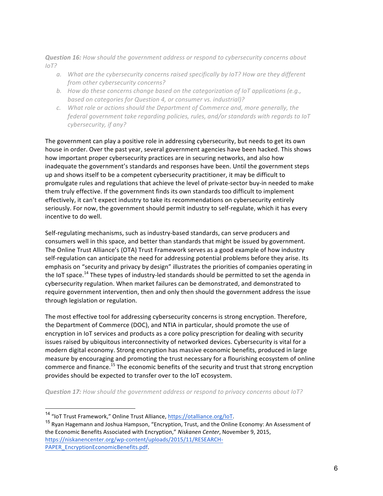**Question 16:** How should the government address or respond to cybersecurity concerns about *IoT?*

- *a.* What are the cybersecurity concerns raised specifically by IoT? How are they different *from other cybersecurity concerns?*
- *b.* How do these concerns change based on the categorization of IoT applications (e.g., *based on categories for Question 4, or consumer vs. industrial)?*
- *c.* What role or actions should the Department of Commerce and, more generally, the *federal government take regarding policies, rules, and/or standards with regards to IoT* cybersecurity, if any?

The government can play a positive role in addressing cybersecurity, but needs to get its own house in order. Over the past year, several government agencies have been hacked. This shows how important proper cybersecurity practices are in securing networks, and also how inadequate the government's standards and responses have been. Until the government steps up and shows itself to be a competent cybersecurity practitioner, it may be difficult to promulgate rules and regulations that achieve the level of private-sector buy-in needed to make them truly effective. If the government finds its own standards too difficult to implement effectively, it can't expect industry to take its recommendations on cybersecurity entirely seriously. For now, the government should permit industry to self-regulate, which it has every incentive to do well.

Self-regulating mechanisms, such as industry-based standards, can serve producers and consumers well in this space, and better than standards that might be issued by government. The Online Trust Alliance's (OTA) Trust Framework serves as a good example of how industry self-regulation can anticipate the need for addressing potential problems before they arise. Its emphasis on "security and privacy by design" illustrates the priorities of companies operating in the IoT space.<sup>14</sup> These types of industry-led standards should be permitted to set the agenda in cybersecurity regulation. When market failures can be demonstrated, and demonstrated to require government intervention, then and only then should the government address the issue through legislation or regulation.

The most effective tool for addressing cybersecurity concerns is strong encryption. Therefore, the Department of Commerce (DOC), and NTIA in particular, should promote the use of encryption in IoT services and products as a core policy prescription for dealing with security issues raised by ubiquitous interconnectivity of networked devices. Cybersecurity is vital for a modern digital economy. Strong encryption has massive economic benefits, produced in large measure by encouraging and promoting the trust necessary for a flourishing ecosystem of online commerce and finance.<sup>15</sup> The economic benefits of the security and trust that strong encryption provides should be expected to transfer over to the IoT ecosystem.

**Question 17:** How should the government address or respond to privacy concerns about IoT?

<sup>&</sup>lt;sup>14</sup> "IoT Trust Framework," Online Trust Alliance, https://otalliance.org/IoT.

 $15$  Ryan Hagemann and Joshua Hampson, "Encryption, Trust, and the Online Economy: An Assessment of the Economic Benefits Associated with Encryption," Niskanen Center, November 9, 2015, https://niskanencenter.org/wp-content/uploads/2015/11/RESEARCH-

PAPER\_EncryptionEconomicBenefits.pdf.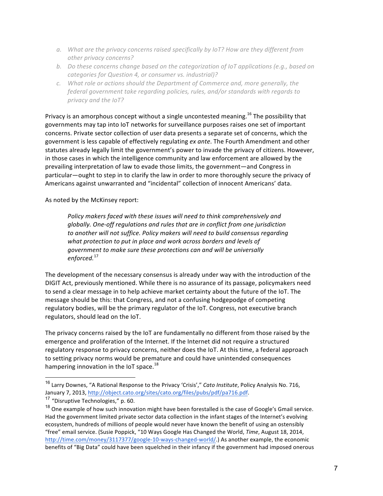- a. What are the privacy concerns raised specifically by IoT? How are they different from other privacy concerns?
- *b.* Do these concerns change based on the categorization of IoT applications (e.g., based on *categories for Question 4, or consumer vs. industrial)?*
- *c.* What role or actions should the Department of Commerce and, more generally, the *federal government take regarding policies, rules, and/or standards with regards to privacy and the IoT?*

Privacy is an amorphous concept without a single uncontested meaning.<sup>16</sup> The possibility that governments may tap into IoT networks for surveillance purposes raises one set of important concerns. Private sector collection of user data presents a separate set of concerns, which the government is less capable of effectively regulating ex ante. The Fourth Amendment and other statutes already legally limit the government's power to invade the privacy of citizens. However, in those cases in which the intelligence community and law enforcement are allowed by the prevailing interpretation of law to evade those limits, the government—and Congress in particular—ought to step in to clarify the law in order to more thoroughly secure the privacy of Americans against unwarranted and "incidental" collection of innocent Americans' data.

As noted by the McKinsey report:

Policy makers faced with these issues will need to think comprehensively and *globally.* One-off regulations and rules that are in conflict from one jurisdiction to another will not suffice. Policy makers will need to build consensus regarding what protection to put in place and work across borders and levels of *government to make sure these protections can and will be universally enforced.*<sup>17</sup>

The development of the necessary consensus is already under way with the introduction of the DIGIT Act, previously mentioned. While there is no assurance of its passage, policymakers need to send a clear message in to help achieve market certainty about the future of the IoT. The message should be this: that Congress, and not a confusing hodgepodge of competing regulatory bodies, will be the primary regulator of the IoT. Congress, not executive branch regulators, should lead on the IoT.

The privacy concerns raised by the IoT are fundamentally no different from those raised by the emergence and proliferation of the Internet. If the Internet did not require a structured regulatory response to privacy concerns, neither does the IoT. At this time, a federal approach to setting privacy norms would be premature and could have unintended consequences hampering innovation in the IoT space.<sup>18</sup>

<sup>&</sup>lt;sup>16</sup> Larry Downes, "A Rational Response to the Privacy 'Crisis'," *Cato Institute*, Policy Analysis No. 716, January 7, 2013, http://object.cato.org/sites/cato.org/files/pubs/pdf/pa716.pdf.

 $17$  "Disruptive Technologies," p. 60.

<sup>&</sup>lt;sup>18</sup> One example of how such innovation might have been forestalled is the case of Google's Gmail service. Had the government limited private sector data collection in the infant stages of the Internet's evolving ecosystem, hundreds of millions of people would never have known the benefit of using an ostensibly "free" email service. (Susie Poppick, "10 Ways Google Has Changed the World, *Time*, August 18, 2014, http://time.com/money/3117377/google-10-ways-changed-world/.) As another example, the economic benefits of "Big Data" could have been squelched in their infancy if the government had imposed onerous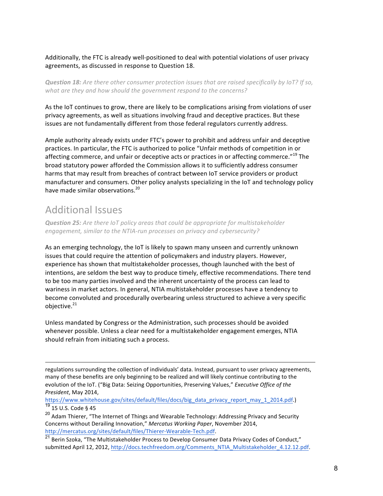#### Additionally, the FTC is already well-positioned to deal with potential violations of user privacy agreements, as discussed in response to Question 18.

**Question 18:** Are there other consumer protection issues that are raised specifically by IoT? If so, what are they and how should the government respond to the concerns?

As the IoT continues to grow, there are likely to be complications arising from violations of user privacy agreements, as well as situations involving fraud and deceptive practices. But these issues are not fundamentally different from those federal regulators currently address.

Ample authority already exists under FTC's power to prohibit and address unfair and deceptive practices. In particular, the FTC is authorized to police "Unfair methods of competition in or affecting commerce, and unfair or deceptive acts or practices in or affecting commerce."<sup>19</sup> The broad statutory power afforded the Commission allows it to sufficiently address consumer harms that may result from breaches of contract between IoT service providers or product manufacturer and consumers. Other policy analysts specializing in the IoT and technology policy have made similar observations. $^{20}$ 

# Additional Issues

 $\overline{a}$ 

**Question 25:** Are there IoT policy areas that could be appropriate for multistakeholder engagement, similar to the NTIA-run processes on privacy and cybersecurity?

As an emerging technology, the IoT is likely to spawn many unseen and currently unknown issues that could require the attention of policymakers and industry players. However, experience has shown that multistakeholder processes, though launched with the best of intentions, are seldom the best way to produce timely, effective recommendations. There tend to be too many parties involved and the inherent uncertainty of the process can lead to wariness in market actors. In general, NTIA multistakeholder processes have a tendency to become convoluted and procedurally overbearing unless structured to achieve a very specific objective.<sup>21</sup>

Unless mandated by Congress or the Administration, such processes should be avoided whenever possible. Unless a clear need for a multistakeholder engagement emerges, NTIA should refrain from initiating such a process.

https://www.whitehouse.gov/sites/default/files/docs/big\_data\_privacy\_report\_may\_1\_2014.pdf.)  $19$  15 U.S. Code § 45

regulations surrounding the collection of individuals' data. Instead, pursuant to user privacy agreements, many of these benefits are only beginning to be realized and will likely continue contributing to the evolution of the IoT. ("Big Data: Seizing Opportunities, Preserving Values," *Executive Office of the* President, May 2014,

<sup>20</sup> Adam Thierer, "The Internet of Things and Wearable Technology: Addressing Privacy and Security Concerns without Derailing Innovation," Mercatus Working Paper, November 2014, http://mercatus.org/sites/default/files/Thierer-Wearable-Tech.pdf. 

<sup>&</sup>lt;sup>21</sup> Berin Szoka, "The Multistakeholder Process to Develop Consumer Data Privacy Codes of Conduct," submitted April 12, 2012, http://docs.techfreedom.org/Comments\_NTIA\_Multistakeholder\_4.12.12.pdf.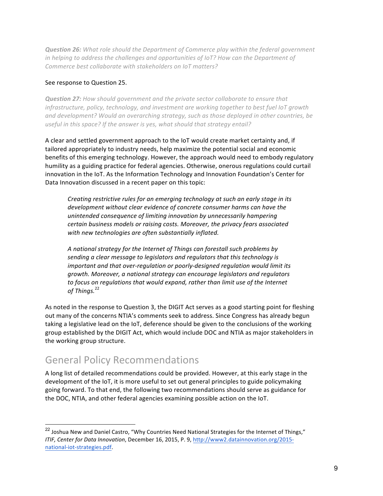**Question 26:** What role should the Department of Commerce play within the federal government *in* helping to address the challenges and opportunities of  $I$ oT? How can the Department of Commerce best collaborate with stakeholders on IoT matters?

#### See response to Question 25.

**Question 27:** How should government and the private sector collaborate to ensure that *infrastructure, policy, technology, and investment are working together to best fuel loT growth* and development? Would an overarching strategy, such as those deployed in other countries, be *useful* in this space? If the answer is yes, what should that strategy entail?

A clear and settled government approach to the IoT would create market certainty and, if tailored appropriately to industry needs, help maximize the potential social and economic benefits of this emerging technology. However, the approach would need to embody regulatory humility as a guiding practice for federal agencies. Otherwise, onerous regulations could curtail innovation in the IoT. As the Information Technology and Innovation Foundation's Center for Data Innovation discussed in a recent paper on this topic:

*Creating restrictive rules for an emerging technology at such an early stage in its* development without clear evidence of concrete consumer harms can have the *unintended consequence of limiting innovation by unnecessarily hampering* certain business models or raising costs. Moreover, the privacy fears associated with new technologies are often substantially inflated.

A national strategy for the Internet of Things can forestall such problems by sending a clear message to legislators and regulators that this technology is *important and that over-regulation or poorly-designed regulation would limit its growth. Moreover, a national strategy can encourage legislators and regulators*  to focus on regulations that would expand, rather than limit use of the Internet of Things.<sup>22</sup>

As noted in the response to Question 3, the DIGIT Act serves as a good starting point for fleshing out many of the concerns NTIA's comments seek to address. Since Congress has already begun taking a legislative lead on the IoT, deference should be given to the conclusions of the working group established by the DIGIT Act, which would include DOC and NTIA as major stakeholders in the working group structure.

## General Policy Recommendations

A long list of detailed recommendations could be provided. However, at this early stage in the development of the IoT, it is more useful to set out general principles to guide policymaking going forward. To that end, the following two recommendations should serve as guidance for the DOC, NTIA, and other federal agencies examining possible action on the IoT.

 $^{22}$  Joshua New and Daniel Castro, "Why Countries Need National Strategies for the Internet of Things," *ITIF, Center for Data Innovation, December 16, 2015, P. 9, http://www2.datainnovation.org/2015*national-iot-strategies.pdf.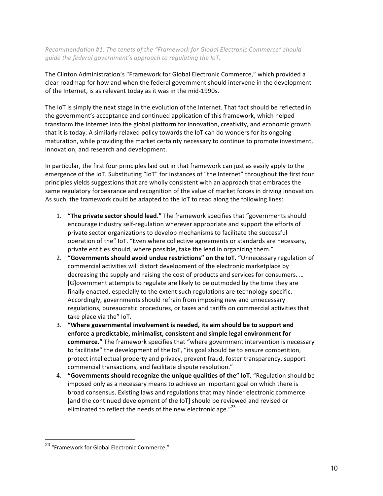Recommendation #1: The tenets of the "Framework for Global Electronic Commerce" should *guide the federal government's approach to regulating the IoT.* 

The Clinton Administration's "Framework for Global Electronic Commerce," which provided a clear roadmap for how and when the federal government should intervene in the development of the Internet, is as relevant today as it was in the mid-1990s.

The IoT is simply the next stage in the evolution of the Internet. That fact should be reflected in the government's acceptance and continued application of this framework, which helped transform the Internet into the global platform for innovation, creativity, and economic growth that it is today. A similarly relaxed policy towards the IoT can do wonders for its ongoing maturation, while providing the market certainty necessary to continue to promote investment, innovation, and research and development.

In particular, the first four principles laid out in that framework can just as easily apply to the emergence of the IoT. Substituting "IoT" for instances of "the Internet" throughout the first four principles yields suggestions that are wholly consistent with an approach that embraces the same regulatory forbearance and recognition of the value of market forces in driving innovation. As such, the framework could be adapted to the IoT to read along the following lines:

- 1. **"The private sector should lead."** The framework specifies that "governments should encourage industry self-regulation wherever appropriate and support the efforts of private sector organizations to develop mechanisms to facilitate the successful operation of the" IoT. "Even where collective agreements or standards are necessary, private entities should, where possible, take the lead in organizing them."
- 2. "Governments should avoid undue restrictions" on the IoT. "Unnecessary regulation of commercial activities will distort development of the electronic marketplace by decreasing the supply and raising the cost of products and services for consumers. ... [G]overnment attempts to regulate are likely to be outmoded by the time they are finally enacted, especially to the extent such regulations are technology-specific. Accordingly, governments should refrain from imposing new and unnecessary regulations, bureaucratic procedures, or taxes and tariffs on commercial activities that take place via the" IoT.
- 3. **"Where governmental involvement is needed, its aim should be to support and** enforce a predictable, minimalist, consistent and simple legal environment for **commerce."** The framework specifies that "where government intervention is necessary to facilitate" the development of the IoT, "its goal should be to ensure competition, protect intellectual property and privacy, prevent fraud, foster transparency, support commercial transactions, and facilitate dispute resolution."
- 4. **"Governments should recognize the unique qualities of the" IoT.** "Regulation should be imposed only as a necessary means to achieve an important goal on which there is broad consensus. Existing laws and regulations that may hinder electronic commerce [and the continued development of the IoT] should be reviewed and revised or eliminated to reflect the needs of the new electronic age." $^{23}$

<sup>&</sup>lt;sup>23</sup> "Framework for Global Electronic Commerce."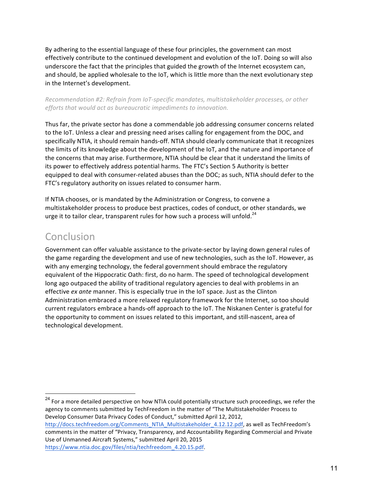By adhering to the essential language of these four principles, the government can most effectively contribute to the continued development and evolution of the IoT. Doing so will also underscore the fact that the principles that guided the growth of the Internet ecosystem can, and should, be applied wholesale to the IoT, which is little more than the next evolutionary step in the Internet's development.

*Recommendation #2: Refrain from IoT-specific mandates, multistakeholder processes, or other* efforts that would act as bureaucratic impediments to innovation.

Thus far, the private sector has done a commendable job addressing consumer concerns related to the IoT. Unless a clear and pressing need arises calling for engagement from the DOC, and specifically NTIA, it should remain hands-off. NTIA should clearly communicate that it recognizes the limits of its knowledge about the development of the IoT, and the nature and importance of the concerns that may arise. Furthermore, NTIA should be clear that it understand the limits of its power to effectively address potential harms. The FTC's Section 5 Authority is better equipped to deal with consumer-related abuses than the DOC; as such, NTIA should defer to the FTC's regulatory authority on issues related to consumer harm.

If NTIA chooses, or is mandated by the Administration or Congress, to convene a multistakeholder process to produce best practices, codes of conduct, or other standards, we urge it to tailor clear, transparent rules for how such a process will unfold.<sup>24</sup>

### Conclusion

Government can offer valuable assistance to the private-sector by laying down general rules of the game regarding the development and use of new technologies, such as the IoT. However, as with any emerging technology, the federal government should embrace the regulatory equivalent of the Hippocratic Oath: first, do no harm. The speed of technological development long ago outpaced the ability of traditional regulatory agencies to deal with problems in an effective *ex ante* manner. This is especially true in the IoT space. Just as the Clinton Administration embraced a more relaxed regulatory framework for the Internet, so too should current regulators embrace a hands-off approach to the IoT. The Niskanen Center is grateful for the opportunity to comment on issues related to this important, and still-nascent, area of technological development.

 $24$  For a more detailed perspective on how NTIA could potentially structure such proceedings, we refer the agency to comments submitted by TechFreedom in the matter of "The Multistakeholder Process to Develop Consumer Data Privacy Codes of Conduct," submitted April 12, 2012, http://docs.techfreedom.org/Comments\_NTIA\_Multistakeholder\_4.12.12.pdf, as well as TechFreedom's comments in the matter of "Privacy, Transparency, and Accountability Regarding Commercial and Private Use of Unmanned Aircraft Systems," submitted April 20, 2015 https://www.ntia.doc.gov/files/ntia/techfreedom\_4.20.15.pdf.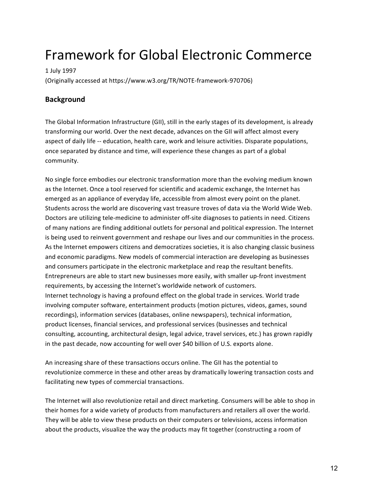# Framework for Global Electronic Commerce

1 July 1997 (Originally accessed at https://www.w3.org/TR/NOTE-framework-970706)

### **Background**

The Global Information Infrastructure (GII), still in the early stages of its development, is already transforming our world. Over the next decade, advances on the GII will affect almost every aspect of daily life -- education, health care, work and leisure activities. Disparate populations, once separated by distance and time, will experience these changes as part of a global community.

No single force embodies our electronic transformation more than the evolving medium known as the Internet. Once a tool reserved for scientific and academic exchange, the Internet has emerged as an appliance of everyday life, accessible from almost every point on the planet. Students across the world are discovering vast treasure troves of data via the World Wide Web. Doctors are utilizing tele-medicine to administer off-site diagnoses to patients in need. Citizens of many nations are finding additional outlets for personal and political expression. The Internet is being used to reinvent government and reshape our lives and our communities in the process. As the Internet empowers citizens and democratizes societies, it is also changing classic business and economic paradigms. New models of commercial interaction are developing as businesses and consumers participate in the electronic marketplace and reap the resultant benefits. Entrepreneurs are able to start new businesses more easily, with smaller up-front investment requirements, by accessing the Internet's worldwide network of customers. Internet technology is having a profound effect on the global trade in services. World trade involving computer software, entertainment products (motion pictures, videos, games, sound recordings), information services (databases, online newspapers), technical information, product licenses, financial services, and professional services (businesses and technical consulting, accounting, architectural design, legal advice, travel services, etc.) has grown rapidly in the past decade, now accounting for well over \$40 billion of U.S. exports alone.

An increasing share of these transactions occurs online. The GII has the potential to revolutionize commerce in these and other areas by dramatically lowering transaction costs and facilitating new types of commercial transactions.

The Internet will also revolutionize retail and direct marketing. Consumers will be able to shop in their homes for a wide variety of products from manufacturers and retailers all over the world. They will be able to view these products on their computers or televisions, access information about the products, visualize the way the products may fit together (constructing a room of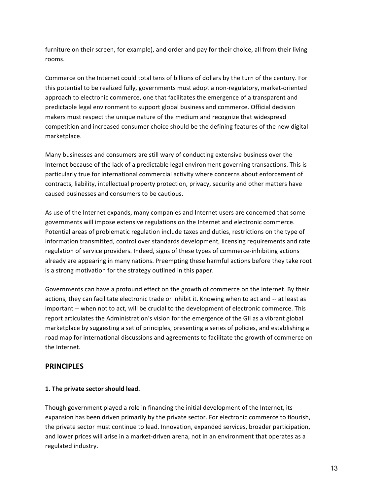furniture on their screen, for example), and order and pay for their choice, all from their living rooms.

Commerce on the Internet could total tens of billions of dollars by the turn of the century. For this potential to be realized fully, governments must adopt a non-regulatory, market-oriented approach to electronic commerce, one that facilitates the emergence of a transparent and predictable legal environment to support global business and commerce. Official decision makers must respect the unique nature of the medium and recognize that widespread competition and increased consumer choice should be the defining features of the new digital marketplace.

Many businesses and consumers are still wary of conducting extensive business over the Internet because of the lack of a predictable legal environment governing transactions. This is particularly true for international commercial activity where concerns about enforcement of contracts, liability, intellectual property protection, privacy, security and other matters have caused businesses and consumers to be cautious.

As use of the Internet expands, many companies and Internet users are concerned that some governments will impose extensive regulations on the Internet and electronic commerce. Potential areas of problematic regulation include taxes and duties, restrictions on the type of information transmitted, control over standards development, licensing requirements and rate regulation of service providers. Indeed, signs of these types of commerce-inhibiting actions already are appearing in many nations. Preempting these harmful actions before they take root is a strong motivation for the strategy outlined in this paper.

Governments can have a profound effect on the growth of commerce on the Internet. By their actions, they can facilitate electronic trade or inhibit it. Knowing when to act and -- at least as important -- when not to act, will be crucial to the development of electronic commerce. This report articulates the Administration's vision for the emergence of the GII as a vibrant global marketplace by suggesting a set of principles, presenting a series of policies, and establishing a road map for international discussions and agreements to facilitate the growth of commerce on the Internet.

#### **PRINCIPLES**

#### **1.** The private sector should lead.

Though government played a role in financing the initial development of the Internet, its expansion has been driven primarily by the private sector. For electronic commerce to flourish, the private sector must continue to lead. Innovation, expanded services, broader participation, and lower prices will arise in a market-driven arena, not in an environment that operates as a regulated industry.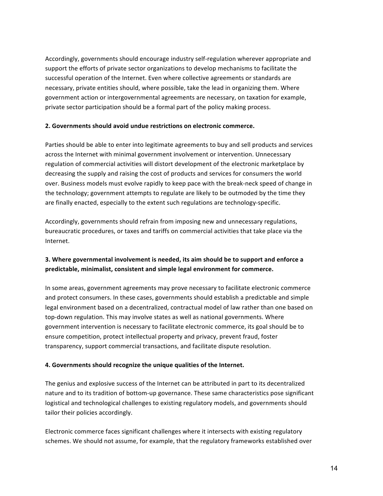Accordingly, governments should encourage industry self-regulation wherever appropriate and support the efforts of private sector organizations to develop mechanisms to facilitate the successful operation of the Internet. Even where collective agreements or standards are necessary, private entities should, where possible, take the lead in organizing them. Where government action or intergovernmental agreements are necessary, on taxation for example, private sector participation should be a formal part of the policy making process.

#### **2. Governments should avoid undue restrictions on electronic commerce.**

Parties should be able to enter into legitimate agreements to buy and sell products and services across the Internet with minimal government involvement or intervention. Unnecessary regulation of commercial activities will distort development of the electronic marketplace by decreasing the supply and raising the cost of products and services for consumers the world over. Business models must evolve rapidly to keep pace with the break-neck speed of change in the technology; government attempts to regulate are likely to be outmoded by the time they are finally enacted, especially to the extent such regulations are technology-specific.

Accordingly, governments should refrain from imposing new and unnecessary regulations, bureaucratic procedures, or taxes and tariffs on commercial activities that take place via the Internet.

### **3.** Where governmental involvement is needed, its aim should be to support and enforce a predictable, minimalist, consistent and simple legal environment for commerce.

In some areas, government agreements may prove necessary to facilitate electronic commerce and protect consumers. In these cases, governments should establish a predictable and simple legal environment based on a decentralized, contractual model of law rather than one based on top-down regulation. This may involve states as well as national governments. Where government intervention is necessary to facilitate electronic commerce, its goal should be to ensure competition, protect intellectual property and privacy, prevent fraud, foster transparency, support commercial transactions, and facilitate dispute resolution.

#### **4. Governments should recognize the unique qualities of the Internet.**

The genius and explosive success of the Internet can be attributed in part to its decentralized nature and to its tradition of bottom-up governance. These same characteristics pose significant logistical and technological challenges to existing regulatory models, and governments should tailor their policies accordingly.

Electronic commerce faces significant challenges where it intersects with existing regulatory schemes. We should not assume, for example, that the regulatory frameworks established over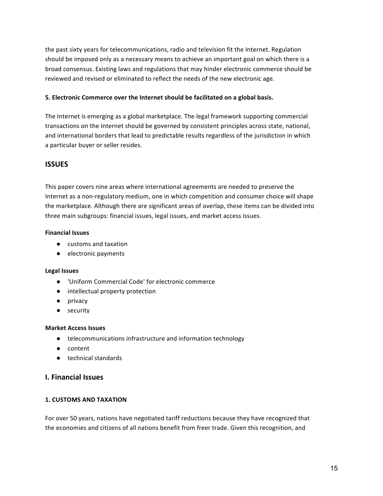the past sixty years for telecommunications, radio and television fit the Internet. Regulation should be imposed only as a necessary means to achieve an important goal on which there is a broad consensus. Existing laws and regulations that may hinder electronic commerce should be reviewed and revised or eliminated to reflect the needs of the new electronic age.

#### **5.** Electronic Commerce over the Internet should be facilitated on a global basis.

The Internet is emerging as a global marketplace. The legal framework supporting commercial transactions on the Internet should be governed by consistent principles across state, national, and international borders that lead to predictable results regardless of the jurisdiction in which a particular buyer or seller resides.

### **ISSUES**

This paper covers nine areas where international agreements are needed to preserve the Internet as a non-regulatory medium, one in which competition and consumer choice will shape the marketplace. Although there are significant areas of overlap, these items can be divided into three main subgroups: financial issues, legal issues, and market access issues.

#### **Financial Issues**

- customs and taxation
- electronic payments

#### **Legal Issues**

- Uniform Commercial Code' for electronic commerce
- intellectual property protection
- privacy
- security

#### **Market Access Issues**

- telecommunications infrastructure and information technology
- content
- technical standards

#### **I. Financial Issues**

#### **1. CUSTOMS AND TAXATION**

For over 50 years, nations have negotiated tariff reductions because they have recognized that the economies and citizens of all nations benefit from freer trade. Given this recognition, and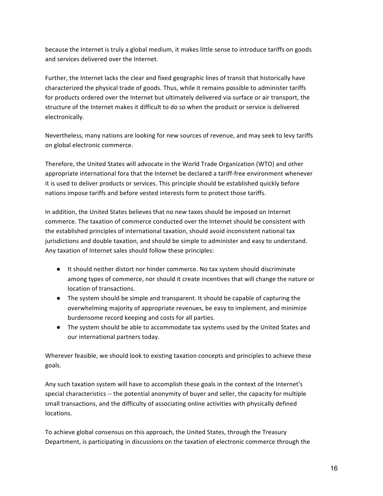because the Internet is truly a global medium, it makes little sense to introduce tariffs on goods and services delivered over the Internet.

Further, the Internet lacks the clear and fixed geographic lines of transit that historically have characterized the physical trade of goods. Thus, while it remains possible to administer tariffs for products ordered over the Internet but ultimately delivered via surface or air transport, the structure of the Internet makes it difficult to do so when the product or service is delivered electronically.

Nevertheless, many nations are looking for new sources of revenue, and may seek to levy tariffs on global electronic commerce.

Therefore, the United States will advocate in the World Trade Organization (WTO) and other appropriate international fora that the Internet be declared a tariff-free environment whenever it is used to deliver products or services. This principle should be established quickly before nations impose tariffs and before vested interests form to protect those tariffs.

In addition, the United States believes that no new taxes should be imposed on Internet commerce. The taxation of commerce conducted over the Internet should be consistent with the established principles of international taxation, should avoid inconsistent national tax jurisdictions and double taxation, and should be simple to administer and easy to understand. Any taxation of Internet sales should follow these principles:

- It should neither distort nor hinder commerce. No tax system should discriminate among types of commerce, nor should it create incentives that will change the nature or location of transactions.
- The system should be simple and transparent. It should be capable of capturing the overwhelming majority of appropriate revenues, be easy to implement, and minimize burdensome record keeping and costs for all parties.
- The system should be able to accommodate tax systems used by the United States and our international partners today.

Wherever feasible, we should look to existing taxation concepts and principles to achieve these goals.

Any such taxation system will have to accomplish these goals in the context of the Internet's special characteristics -- the potential anonymity of buyer and seller, the capacity for multiple small transactions, and the difficulty of associating online activities with physically defined locations.

To achieve global consensus on this approach, the United States, through the Treasury Department, is participating in discussions on the taxation of electronic commerce through the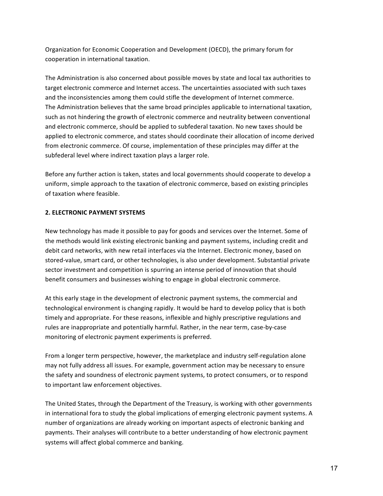Organization for Economic Cooperation and Development (OECD), the primary forum for cooperation in international taxation.

The Administration is also concerned about possible moves by state and local tax authorities to target electronic commerce and Internet access. The uncertainties associated with such taxes and the inconsistencies among them could stifle the development of Internet commerce. The Administration believes that the same broad principles applicable to international taxation, such as not hindering the growth of electronic commerce and neutrality between conventional and electronic commerce, should be applied to subfederal taxation. No new taxes should be applied to electronic commerce, and states should coordinate their allocation of income derived from electronic commerce. Of course, implementation of these principles may differ at the subfederal level where indirect taxation plays a larger role.

Before any further action is taken, states and local governments should cooperate to develop a uniform, simple approach to the taxation of electronic commerce, based on existing principles of taxation where feasible.

#### **2. ELECTRONIC PAYMENT SYSTEMS**

New technology has made it possible to pay for goods and services over the Internet. Some of the methods would link existing electronic banking and payment systems, including credit and debit card networks, with new retail interfaces via the Internet. Electronic money, based on stored-value, smart card, or other technologies, is also under development. Substantial private sector investment and competition is spurring an intense period of innovation that should benefit consumers and businesses wishing to engage in global electronic commerce.

At this early stage in the development of electronic payment systems, the commercial and technological environment is changing rapidly. It would be hard to develop policy that is both timely and appropriate. For these reasons, inflexible and highly prescriptive regulations and rules are inappropriate and potentially harmful. Rather, in the near term, case-by-case monitoring of electronic payment experiments is preferred.

From a longer term perspective, however, the marketplace and industry self-regulation alone may not fully address all issues. For example, government action may be necessary to ensure the safety and soundness of electronic payment systems, to protect consumers, or to respond to important law enforcement objectives.

The United States, through the Department of the Treasury, is working with other governments in international fora to study the global implications of emerging electronic payment systems. A number of organizations are already working on important aspects of electronic banking and payments. Their analyses will contribute to a better understanding of how electronic payment systems will affect global commerce and banking.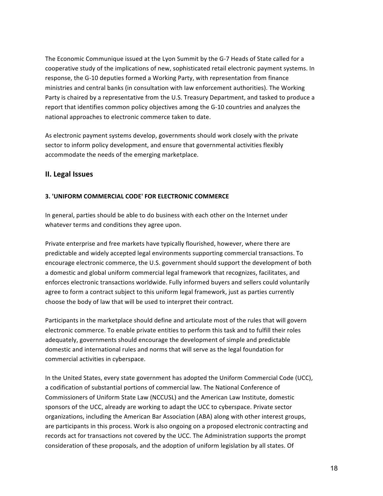The Economic Communique issued at the Lyon Summit by the G-7 Heads of State called for a cooperative study of the implications of new, sophisticated retail electronic payment systems. In response, the G-10 deputies formed a Working Party, with representation from finance ministries and central banks (in consultation with law enforcement authorities). The Working Party is chaired by a representative from the U.S. Treasury Department, and tasked to produce a report that identifies common policy objectives among the G-10 countries and analyzes the national approaches to electronic commerce taken to date.

As electronic payment systems develop, governments should work closely with the private sector to inform policy development, and ensure that governmental activities flexibly accommodate the needs of the emerging marketplace.

### **II. Legal Issues**

#### **3. 'UNIFORM COMMERCIAL CODE' FOR ELECTRONIC COMMERCE**

In general, parties should be able to do business with each other on the Internet under whatever terms and conditions they agree upon.

Private enterprise and free markets have typically flourished, however, where there are predictable and widely accepted legal environments supporting commercial transactions. To encourage electronic commerce, the U.S. government should support the development of both a domestic and global uniform commercial legal framework that recognizes, facilitates, and enforces electronic transactions worldwide. Fully informed buyers and sellers could voluntarily agree to form a contract subject to this uniform legal framework, just as parties currently choose the body of law that will be used to interpret their contract.

Participants in the marketplace should define and articulate most of the rules that will govern electronic commerce. To enable private entities to perform this task and to fulfill their roles adequately, governments should encourage the development of simple and predictable domestic and international rules and norms that will serve as the legal foundation for commercial activities in cyberspace.

In the United States, every state government has adopted the Uniform Commercial Code (UCC), a codification of substantial portions of commercial law. The National Conference of Commissioners of Uniform State Law (NCCUSL) and the American Law Institute, domestic sponsors of the UCC, already are working to adapt the UCC to cyberspace. Private sector organizations, including the American Bar Association (ABA) along with other interest groups, are participants in this process. Work is also ongoing on a proposed electronic contracting and records act for transactions not covered by the UCC. The Administration supports the prompt consideration of these proposals, and the adoption of uniform legislation by all states. Of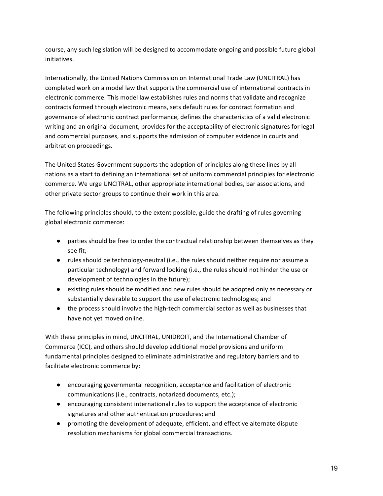course, any such legislation will be designed to accommodate ongoing and possible future global initiatives.

Internationally, the United Nations Commission on International Trade Law (UNCITRAL) has completed work on a model law that supports the commercial use of international contracts in electronic commerce. This model law establishes rules and norms that validate and recognize contracts formed through electronic means, sets default rules for contract formation and governance of electronic contract performance, defines the characteristics of a valid electronic writing and an original document, provides for the acceptability of electronic signatures for legal and commercial purposes, and supports the admission of computer evidence in courts and arbitration proceedings.

The United States Government supports the adoption of principles along these lines by all nations as a start to defining an international set of uniform commercial principles for electronic commerce. We urge UNCITRAL, other appropriate international bodies, bar associations, and other private sector groups to continue their work in this area.

The following principles should, to the extent possible, guide the drafting of rules governing global electronic commerce:

- parties should be free to order the contractual relationship between themselves as they see fit;
- rules should be technology-neutral (i.e., the rules should neither require nor assume a particular technology) and forward looking (i.e., the rules should not hinder the use or development of technologies in the future);
- existing rules should be modified and new rules should be adopted only as necessary or substantially desirable to support the use of electronic technologies; and
- $\bullet$  the process should involve the high-tech commercial sector as well as businesses that have not yet moved online.

With these principles in mind, UNCITRAL, UNIDROIT, and the International Chamber of Commerce (ICC), and others should develop additional model provisions and uniform fundamental principles designed to eliminate administrative and regulatory barriers and to facilitate electronic commerce by:

- encouraging governmental recognition, acceptance and facilitation of electronic communications (i.e., contracts, notarized documents, etc.);
- encouraging consistent international rules to support the acceptance of electronic signatures and other authentication procedures; and
- promoting the development of adequate, efficient, and effective alternate dispute resolution mechanisms for global commercial transactions.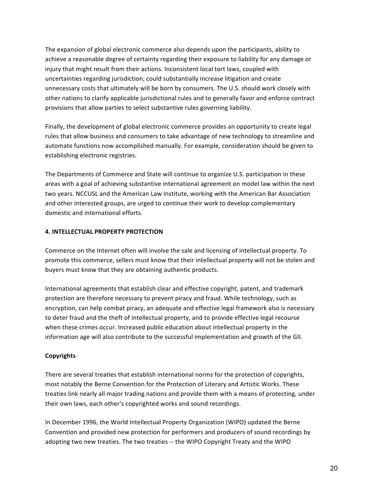The expansion of global electronic commerce also depends upon the participants, ability to achieve a reasonable degree of certainty regarding their exposure to liability for any damage or injury that might result from their actions. Inconsistent local tort laws, coupled with uncertainties regarding jurisdiction, could substantially increase litigation and create unnecessary costs that ultimately will be born by consumers. The U.S. should work closely with other nations to clarify applicable jurisdictional rules and to generally favor and enforce contract provisions that allow parties to select substantive rules governing liability.

Finally, the development of global electronic commerce provides an opportunity to create legal rules that allow business and consumers to take advantage of new technology to streamline and automate functions now accomplished manually. For example, consideration should be given to establishing electronic registries.

The Departments of Commerce and State will continue to organize U.S. participation in these areas with a goal of achieving substantive international agreement on model law within the next two years. NCCUSL and the American Law Institute, working with the American Bar Association and other interested groups, are urged to continue their work to develop complementary domestic and international efforts.

#### **4. INTELLECTUAL PROPERTY PROTECTION**

Commerce on the Internet often will involve the sale and licensing of intellectual property. To promote this commerce, sellers must know that their intellectual property will not be stolen and buyers must know that they are obtaining authentic products.

International agreements that establish clear and effective copyright, patent, and trademark protection are therefore necessary to prevent piracy and fraud. While technology, such as encryption, can help combat piracy, an adequate and effective legal framework also is necessary to deter fraud and the theft of intellectual property, and to provide effective legal recourse when these crimes occur. Increased public education about intellectual property in the information age will also contribute to the successful implementation and growth of the GII.

#### **Copyrights**

There are several treaties that establish international norms for the protection of copyrights, most notably the Berne Convention for the Protection of Literary and Artistic Works. These treaties link nearly all major trading nations and provide them with a means of protecting, under their own laws, each other's copyrighted works and sound recordings.

In December 1996, the World Intellectual Property Organization (WIPO) updated the Berne Convention and provided new protection for performers and producers of sound recordings by adopting two new treaties. The two treaties -- the WIPO Copyright Treaty and the WIPO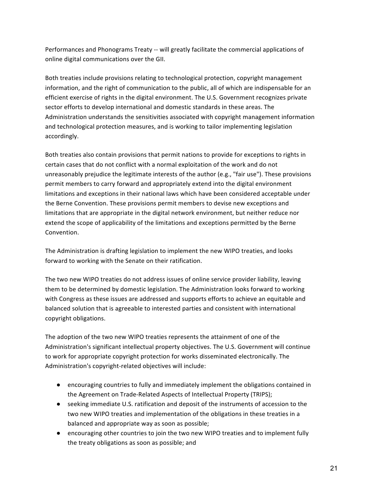Performances and Phonograms Treaty -- will greatly facilitate the commercial applications of online digital communications over the GII.

Both treaties include provisions relating to technological protection, copyright management information, and the right of communication to the public, all of which are indispensable for an efficient exercise of rights in the digital environment. The U.S. Government recognizes private sector efforts to develop international and domestic standards in these areas. The Administration understands the sensitivities associated with copyright management information and technological protection measures, and is working to tailor implementing legislation accordingly.

Both treaties also contain provisions that permit nations to provide for exceptions to rights in certain cases that do not conflict with a normal exploitation of the work and do not unreasonably prejudice the legitimate interests of the author (e.g., "fair use"). These provisions permit members to carry forward and appropriately extend into the digital environment limitations and exceptions in their national laws which have been considered acceptable under the Berne Convention. These provisions permit members to devise new exceptions and limitations that are appropriate in the digital network environment, but neither reduce nor extend the scope of applicability of the limitations and exceptions permitted by the Berne Convention.

The Administration is drafting legislation to implement the new WIPO treaties, and looks forward to working with the Senate on their ratification.

The two new WIPO treaties do not address issues of online service provider liability, leaving them to be determined by domestic legislation. The Administration looks forward to working with Congress as these issues are addressed and supports efforts to achieve an equitable and balanced solution that is agreeable to interested parties and consistent with international copyright obligations.

The adoption of the two new WIPO treaties represents the attainment of one of the Administration's significant intellectual property objectives. The U.S. Government will continue to work for appropriate copyright protection for works disseminated electronically. The Administration's copyright-related objectives will include:

- encouraging countries to fully and immediately implement the obligations contained in the Agreement on Trade-Related Aspects of Intellectual Property (TRIPS);
- seeking immediate U.S. ratification and deposit of the instruments of accession to the two new WIPO treaties and implementation of the obligations in these treaties in a balanced and appropriate way as soon as possible;
- encouraging other countries to join the two new WIPO treaties and to implement fully the treaty obligations as soon as possible; and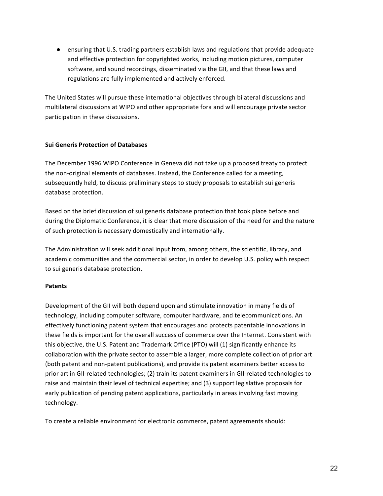● ensuring that U.S. trading partners establish laws and regulations that provide adequate and effective protection for copyrighted works, including motion pictures, computer software, and sound recordings, disseminated via the GII, and that these laws and regulations are fully implemented and actively enforced.

The United States will pursue these international objectives through bilateral discussions and multilateral discussions at WIPO and other appropriate fora and will encourage private sector participation in these discussions.

#### **Sui Generis Protection of Databases**

The December 1996 WIPO Conference in Geneva did not take up a proposed treaty to protect the non-original elements of databases. Instead, the Conference called for a meeting, subsequently held, to discuss preliminary steps to study proposals to establish sui generis database protection.

Based on the brief discussion of sui generis database protection that took place before and during the Diplomatic Conference, it is clear that more discussion of the need for and the nature of such protection is necessary domestically and internationally.

The Administration will seek additional input from, among others, the scientific, library, and academic communities and the commercial sector, in order to develop U.S. policy with respect to sui generis database protection.

#### **Patents**

Development of the GII will both depend upon and stimulate innovation in many fields of technology, including computer software, computer hardware, and telecommunications. An effectively functioning patent system that encourages and protects patentable innovations in these fields is important for the overall success of commerce over the Internet. Consistent with this objective, the U.S. Patent and Trademark Office (PTO) will (1) significantly enhance its collaboration with the private sector to assemble a larger, more complete collection of prior art (both patent and non-patent publications), and provide its patent examiners better access to prior art in GII-related technologies; (2) train its patent examiners in GII-related technologies to raise and maintain their level of technical expertise; and (3) support legislative proposals for early publication of pending patent applications, particularly in areas involving fast moving technology.

To create a reliable environment for electronic commerce, patent agreements should: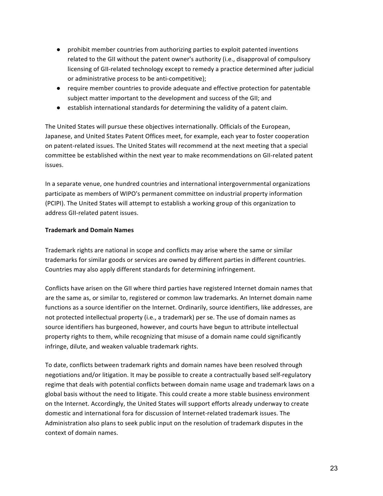- prohibit member countries from authorizing parties to exploit patented inventions related to the GII without the patent owner's authority (i.e., disapproval of compulsory licensing of GII-related technology except to remedy a practice determined after judicial or administrative process to be anti-competitive);
- require member countries to provide adequate and effective protection for patentable subject matter important to the development and success of the GII; and
- establish international standards for determining the validity of a patent claim.

The United States will pursue these objectives internationally. Officials of the European, Japanese, and United States Patent Offices meet, for example, each year to foster cooperation on patent-related issues. The United States will recommend at the next meeting that a special committee be established within the next year to make recommendations on GII-related patent issues.

In a separate venue, one hundred countries and international intergovernmental organizations participate as members of WIPO's permanent committee on industrial property information (PCIPI). The United States will attempt to establish a working group of this organization to address GII-related patent issues.

#### **Trademark and Domain Names**

Trademark rights are national in scope and conflicts may arise where the same or similar trademarks for similar goods or services are owned by different parties in different countries. Countries may also apply different standards for determining infringement.

Conflicts have arisen on the GII where third parties have registered Internet domain names that are the same as, or similar to, registered or common law trademarks. An Internet domain name functions as a source identifier on the Internet. Ordinarily, source identifiers, like addresses, are not protected intellectual property (i.e., a trademark) per se. The use of domain names as source identifiers has burgeoned, however, and courts have begun to attribute intellectual property rights to them, while recognizing that misuse of a domain name could significantly infringe, dilute, and weaken valuable trademark rights.

To date, conflicts between trademark rights and domain names have been resolved through negotiations and/or litigation. It may be possible to create a contractually based self-regulatory regime that deals with potential conflicts between domain name usage and trademark laws on a global basis without the need to litigate. This could create a more stable business environment on the Internet. Accordingly, the United States will support efforts already underway to create domestic and international fora for discussion of Internet-related trademark issues. The Administration also plans to seek public input on the resolution of trademark disputes in the context of domain names.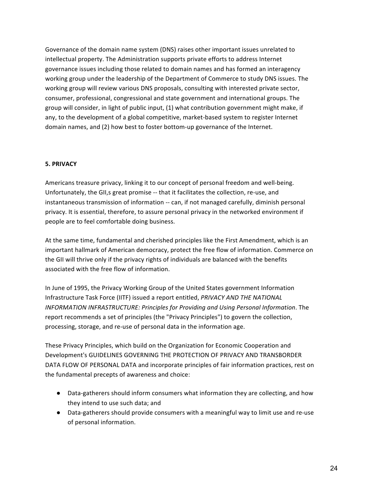Governance of the domain name system (DNS) raises other important issues unrelated to intellectual property. The Administration supports private efforts to address Internet governance issues including those related to domain names and has formed an interagency working group under the leadership of the Department of Commerce to study DNS issues. The working group will review various DNS proposals, consulting with interested private sector, consumer, professional, congressional and state government and international groups. The group will consider, in light of public input, (1) what contribution government might make, if any, to the development of a global competitive, market-based system to register Internet domain names, and (2) how best to foster bottom-up governance of the Internet.

#### **5. PRIVACY**

Americans treasure privacy, linking it to our concept of personal freedom and well-being. Unfortunately, the GII,s great promise -- that it facilitates the collection, re-use, and instantaneous transmission of information -- can, if not managed carefully, diminish personal privacy. It is essential, therefore, to assure personal privacy in the networked environment if people are to feel comfortable doing business.

At the same time, fundamental and cherished principles like the First Amendment, which is an important hallmark of American democracy, protect the free flow of information. Commerce on the GII will thrive only if the privacy rights of individuals are balanced with the benefits associated with the free flow of information.

In June of 1995, the Privacy Working Group of the United States government Information Infrastructure Task Force (IITF) issued a report entitled, *PRIVACY AND THE NATIONAL INFORMATION INFRASTRUCTURE: Principles for Providing and Using Personal Information*. The report recommends a set of principles (the "Privacy Principles") to govern the collection, processing, storage, and re-use of personal data in the information age.

These Privacy Principles, which build on the Organization for Economic Cooperation and Development's GUIDELINES GOVERNING THE PROTECTION OF PRIVACY AND TRANSBORDER DATA FLOW OF PERSONAL DATA and incorporate principles of fair information practices, rest on the fundamental precepts of awareness and choice:

- Data-gatherers should inform consumers what information they are collecting, and how they intend to use such data; and
- Data-gatherers should provide consumers with a meaningful way to limit use and re-use of personal information.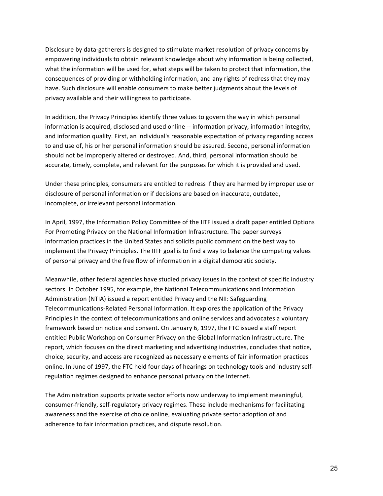Disclosure by data-gatherers is designed to stimulate market resolution of privacy concerns by empowering individuals to obtain relevant knowledge about why information is being collected, what the information will be used for, what steps will be taken to protect that information, the consequences of providing or withholding information, and any rights of redress that they may have. Such disclosure will enable consumers to make better judgments about the levels of privacy available and their willingness to participate.

In addition, the Privacy Principles identify three values to govern the way in which personal information is acquired, disclosed and used online -- information privacy, information integrity, and information quality. First, an individual's reasonable expectation of privacy regarding access to and use of, his or her personal information should be assured. Second, personal information should not be improperly altered or destroyed. And, third, personal information should be accurate, timely, complete, and relevant for the purposes for which it is provided and used.

Under these principles, consumers are entitled to redress if they are harmed by improper use or disclosure of personal information or if decisions are based on inaccurate, outdated, incomplete, or irrelevant personal information.

In April, 1997, the Information Policy Committee of the IITF issued a draft paper entitled Options For Promoting Privacy on the National Information Infrastructure. The paper surveys information practices in the United States and solicits public comment on the best way to implement the Privacy Principles. The IITF goal is to find a way to balance the competing values of personal privacy and the free flow of information in a digital democratic society.

Meanwhile, other federal agencies have studied privacy issues in the context of specific industry sectors. In October 1995, for example, the National Telecommunications and Information Administration (NTIA) issued a report entitled Privacy and the NII: Safeguarding Telecommunications-Related Personal Information. It explores the application of the Privacy Principles in the context of telecommunications and online services and advocates a voluntary framework based on notice and consent. On January 6, 1997, the FTC issued a staff report entitled Public Workshop on Consumer Privacy on the Global Information Infrastructure. The report, which focuses on the direct marketing and advertising industries, concludes that notice, choice, security, and access are recognized as necessary elements of fair information practices online. In June of 1997, the FTC held four days of hearings on technology tools and industry selfregulation regimes designed to enhance personal privacy on the Internet.

The Administration supports private sector efforts now underway to implement meaningful, consumer-friendly, self-regulatory privacy regimes. These include mechanisms for facilitating awareness and the exercise of choice online, evaluating private sector adoption of and adherence to fair information practices, and dispute resolution.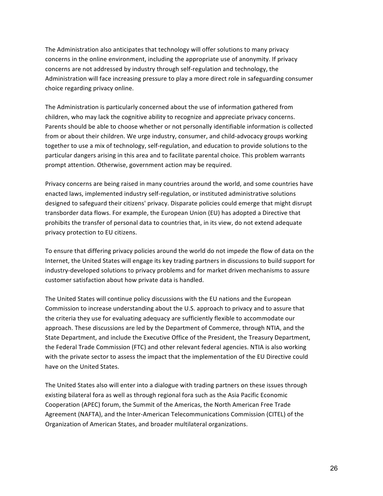The Administration also anticipates that technology will offer solutions to many privacy concerns in the online environment, including the appropriate use of anonymity. If privacy concerns are not addressed by industry through self-regulation and technology, the Administration will face increasing pressure to play a more direct role in safeguarding consumer choice regarding privacy online.

The Administration is particularly concerned about the use of information gathered from children, who may lack the cognitive ability to recognize and appreciate privacy concerns. Parents should be able to choose whether or not personally identifiable information is collected from or about their children. We urge industry, consumer, and child-advocacy groups working together to use a mix of technology, self-regulation, and education to provide solutions to the particular dangers arising in this area and to facilitate parental choice. This problem warrants prompt attention. Otherwise, government action may be required.

Privacy concerns are being raised in many countries around the world, and some countries have enacted laws, implemented industry self-regulation, or instituted administrative solutions designed to safeguard their citizens' privacy. Disparate policies could emerge that might disrupt transborder data flows. For example, the European Union (EU) has adopted a Directive that prohibits the transfer of personal data to countries that, in its view, do not extend adequate privacy protection to EU citizens.

To ensure that differing privacy policies around the world do not impede the flow of data on the Internet, the United States will engage its key trading partners in discussions to build support for industry-developed solutions to privacy problems and for market driven mechanisms to assure customer satisfaction about how private data is handled.

The United States will continue policy discussions with the EU nations and the European Commission to increase understanding about the U.S. approach to privacy and to assure that the criteria they use for evaluating adequacy are sufficiently flexible to accommodate our approach. These discussions are led by the Department of Commerce, through NTIA, and the State Department, and include the Executive Office of the President, the Treasury Department, the Federal Trade Commission (FTC) and other relevant federal agencies. NTIA is also working with the private sector to assess the impact that the implementation of the EU Directive could have on the United States.

The United States also will enter into a dialogue with trading partners on these issues through existing bilateral fora as well as through regional fora such as the Asia Pacific Economic Cooperation (APEC) forum, the Summit of the Americas, the North American Free Trade Agreement (NAFTA), and the Inter-American Telecommunications Commission (CITEL) of the Organization of American States, and broader multilateral organizations.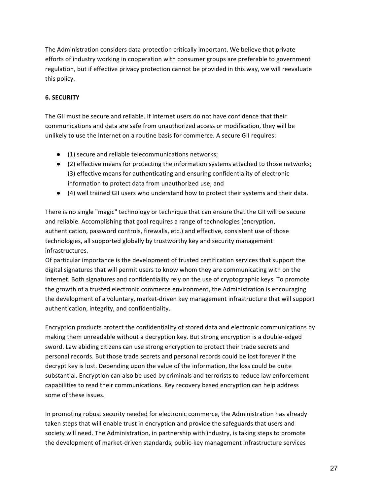The Administration considers data protection critically important. We believe that private efforts of industry working in cooperation with consumer groups are preferable to government regulation, but if effective privacy protection cannot be provided in this way, we will reevaluate this policy.

### **6. SECURITY**

The GII must be secure and reliable. If Internet users do not have confidence that their communications and data are safe from unauthorized access or modification, they will be unlikely to use the Internet on a routine basis for commerce. A secure GII requires:

- (1) secure and reliable telecommunications networks;
- (2) effective means for protecting the information systems attached to those networks; (3) effective means for authenticating and ensuring confidentiality of electronic information to protect data from unauthorized use; and
- (4) well trained GII users who understand how to protect their systems and their data.

There is no single "magic" technology or technique that can ensure that the GII will be secure and reliable. Accomplishing that goal requires a range of technologies (encryption, authentication, password controls, firewalls, etc.) and effective, consistent use of those technologies, all supported globally by trustworthy key and security management infrastructures.

Of particular importance is the development of trusted certification services that support the digital signatures that will permit users to know whom they are communicating with on the Internet. Both signatures and confidentiality rely on the use of cryptographic keys. To promote the growth of a trusted electronic commerce environment, the Administration is encouraging the development of a voluntary, market-driven key management infrastructure that will support authentication, integrity, and confidentiality.

Encryption products protect the confidentiality of stored data and electronic communications by making them unreadable without a decryption key. But strong encryption is a double-edged sword. Law abiding citizens can use strong encryption to protect their trade secrets and personal records. But those trade secrets and personal records could be lost forever if the decrypt key is lost. Depending upon the value of the information, the loss could be quite substantial. Encryption can also be used by criminals and terrorists to reduce law enforcement capabilities to read their communications. Key recovery based encryption can help address some of these issues.

In promoting robust security needed for electronic commerce, the Administration has already taken steps that will enable trust in encryption and provide the safeguards that users and society will need. The Administration, in partnership with industry, is taking steps to promote the development of market-driven standards, public-key management infrastructure services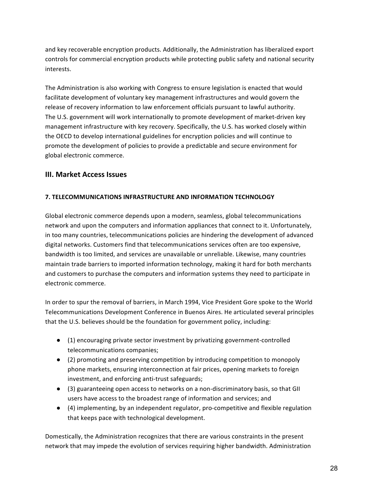and key recoverable encryption products. Additionally, the Administration has liberalized export controls for commercial encryption products while protecting public safety and national security interests.

The Administration is also working with Congress to ensure legislation is enacted that would facilitate development of voluntary key management infrastructures and would govern the release of recovery information to law enforcement officials pursuant to lawful authority. The U.S. government will work internationally to promote development of market-driven key management infrastructure with key recovery. Specifically, the U.S. has worked closely within the OECD to develop international guidelines for encryption policies and will continue to promote the development of policies to provide a predictable and secure environment for global electronic commerce.

### **III. Market Access Issues**

#### **7. TELECOMMUNICATIONS INFRASTRUCTURE AND INFORMATION TECHNOLOGY**

Global electronic commerce depends upon a modern, seamless, global telecommunications network and upon the computers and information appliances that connect to it. Unfortunately, in too many countries, telecommunications policies are hindering the development of advanced digital networks. Customers find that telecommunications services often are too expensive, bandwidth is too limited, and services are unavailable or unreliable. Likewise, many countries maintain trade barriers to imported information technology, making it hard for both merchants and customers to purchase the computers and information systems they need to participate in electronic commerce.

In order to spur the removal of barriers, in March 1994, Vice President Gore spoke to the World Telecommunications Development Conference in Buenos Aires. He articulated several principles that the U.S. believes should be the foundation for government policy, including:

- (1) encouraging private sector investment by privatizing government-controlled telecommunications companies;
- (2) promoting and preserving competition by introducing competition to monopoly phone markets, ensuring interconnection at fair prices, opening markets to foreign investment, and enforcing anti-trust safeguards;
- (3) guaranteeing open access to networks on a non-discriminatory basis, so that GII users have access to the broadest range of information and services; and
- (4) implementing, by an independent regulator, pro-competitive and flexible regulation that keeps pace with technological development.

Domestically, the Administration recognizes that there are various constraints in the present network that may impede the evolution of services requiring higher bandwidth. Administration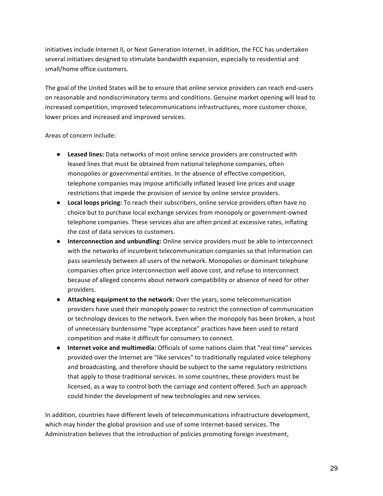initiatives include Internet II, or Next Generation Internet. In addition, the FCC has undertaken several initiatives designed to stimulate bandwidth expansion, especially to residential and small/home office customers.

The goal of the United States will be to ensure that online service providers can reach end-users on reasonable and nondiscriminatory terms and conditions. Genuine market opening will lead to increased competition, improved telecommunications infrastructures, more customer choice, lower prices and increased and improved services.

#### Areas of concern include:

- **Leased lines:** Data networks of most online service providers are constructed with leased lines that must be obtained from national telephone companies, often monopolies or governmental entities. In the absence of effective competition, telephone companies may impose artificially inflated leased line prices and usage restrictions that impede the provision of service by online service providers.
- Local loops pricing: To reach their subscribers, online service providers often have no choice but to purchase local exchange services from monopoly or government-owned telephone companies. These services also are often priced at excessive rates, inflating the cost of data services to customers.
- **•** Interconnection and unbundling: Online service providers must be able to interconnect with the networks of incumbent telecommunication companies so that information can pass seamlessly between all users of the network. Monopolies or dominant telephone companies often price interconnection well above cost, and refuse to interconnect because of alleged concerns about network compatibility or absence of need for other providers.
- **Attaching equipment to the network:** Over the years, some telecommunication providers have used their monopoly power to restrict the connection of communication or technology devices to the network. Even when the monopoly has been broken, a host of unnecessary burdensome "type acceptance" practices have been used to retard competition and make it difficult for consumers to connect.
- **•** Internet voice and multimedia: Officials of some nations claim that "real time" services provided over the Internet are "like services" to traditionally regulated voice telephony and broadcasting, and therefore should be subject to the same regulatory restrictions that apply to those traditional services. In some countries, these providers must be licensed, as a way to control both the carriage and content offered. Such an approach could hinder the development of new technologies and new services.

In addition, countries have different levels of telecommunications infrastructure development, which may hinder the global provision and use of some Internet-based services. The Administration believes that the introduction of policies promoting foreign investment,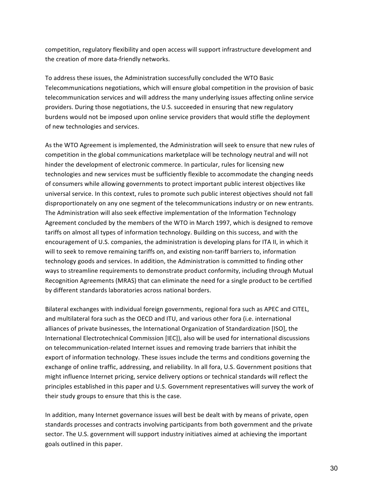competition, regulatory flexibility and open access will support infrastructure development and the creation of more data-friendly networks.

To address these issues, the Administration successfully concluded the WTO Basic Telecommunications negotiations, which will ensure global competition in the provision of basic telecommunication services and will address the many underlying issues affecting online service providers. During those negotiations, the U.S. succeeded in ensuring that new regulatory burdens would not be imposed upon online service providers that would stifle the deployment of new technologies and services.

As the WTO Agreement is implemented, the Administration will seek to ensure that new rules of competition in the global communications marketplace will be technology neutral and will not hinder the development of electronic commerce. In particular, rules for licensing new technologies and new services must be sufficiently flexible to accommodate the changing needs of consumers while allowing governments to protect important public interest objectives like universal service. In this context, rules to promote such public interest objectives should not fall disproportionately on any one segment of the telecommunications industry or on new entrants. The Administration will also seek effective implementation of the Information Technology Agreement concluded by the members of the WTO in March 1997, which is designed to remove tariffs on almost all types of information technology. Building on this success, and with the encouragement of U.S. companies, the administration is developing plans for ITA II, in which it will to seek to remove remaining tariffs on, and existing non-tariff barriers to, information technology goods and services. In addition, the Administration is committed to finding other ways to streamline requirements to demonstrate product conformity, including through Mutual Recognition Agreements (MRAS) that can eliminate the need for a single product to be certified by different standards laboratories across national borders.

Bilateral exchanges with individual foreign governments, regional fora such as APEC and CITEL, and multilateral fora such as the OECD and ITU, and various other fora (i.e. international alliances of private businesses, the International Organization of Standardization [ISO], the International Electrotechnical Commission [IEC]), also will be used for international discussions on telecommunication-related Internet issues and removing trade barriers that inhibit the export of information technology. These issues include the terms and conditions governing the exchange of online traffic, addressing, and reliability. In all fora, U.S. Government positions that might influence Internet pricing, service delivery options or technical standards will reflect the principles established in this paper and U.S. Government representatives will survey the work of their study groups to ensure that this is the case.

In addition, many Internet governance issues will best be dealt with by means of private, open standards processes and contracts involving participants from both government and the private sector. The U.S. government will support industry initiatives aimed at achieving the important goals outlined in this paper.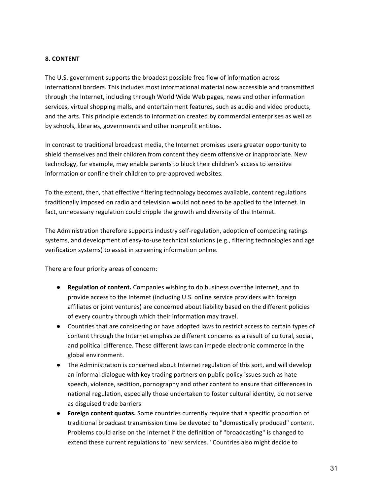#### **8. CONTENT**

The U.S. government supports the broadest possible free flow of information across international borders. This includes most informational material now accessible and transmitted through the Internet, including through World Wide Web pages, news and other information services, virtual shopping malls, and entertainment features, such as audio and video products, and the arts. This principle extends to information created by commercial enterprises as well as by schools, libraries, governments and other nonprofit entities.

In contrast to traditional broadcast media, the Internet promises users greater opportunity to shield themselves and their children from content they deem offensive or inappropriate. New technology, for example, may enable parents to block their children's access to sensitive information or confine their children to pre-approved websites.

To the extent, then, that effective filtering technology becomes available, content regulations traditionally imposed on radio and television would not need to be applied to the Internet. In fact, unnecessary regulation could cripple the growth and diversity of the Internet.

The Administration therefore supports industry self-regulation, adoption of competing ratings systems, and development of easy-to-use technical solutions (e.g., filtering technologies and age verification systems) to assist in screening information online.

There are four priority areas of concern:

- **Regulation of content.** Companies wishing to do business over the Internet, and to provide access to the Internet (including U.S. online service providers with foreign affiliates or joint ventures) are concerned about liability based on the different policies of every country through which their information may travel.
- Countries that are considering or have adopted laws to restrict access to certain types of content through the Internet emphasize different concerns as a result of cultural, social, and political difference. These different laws can impede electronic commerce in the global environment.
- The Administration is concerned about Internet regulation of this sort, and will develop an informal dialogue with key trading partners on public policy issues such as hate speech, violence, sedition, pornography and other content to ensure that differences in national regulation, especially those undertaken to foster cultural identity, do not serve as disguised trade barriers.
- **Foreign content quotas.** Some countries currently require that a specific proportion of traditional broadcast transmission time be devoted to "domestically produced" content. Problems could arise on the Internet if the definition of "broadcasting" is changed to extend these current regulations to "new services." Countries also might decide to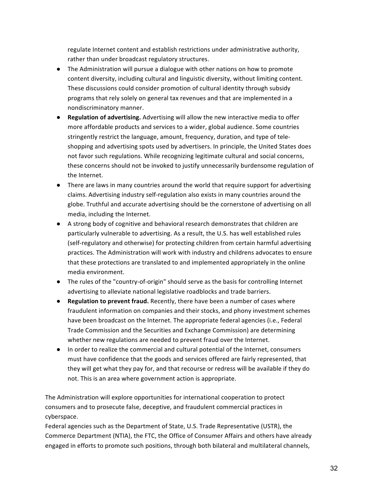regulate Internet content and establish restrictions under administrative authority, rather than under broadcast regulatory structures.

- The Administration will pursue a dialogue with other nations on how to promote content diversity, including cultural and linguistic diversity, without limiting content. These discussions could consider promotion of cultural identity through subsidy programs that rely solely on general tax revenues and that are implemented in a nondiscriminatory manner.
- **Regulation of advertising.** Advertising will allow the new interactive media to offer more affordable products and services to a wider, global audience. Some countries stringently restrict the language, amount, frequency, duration, and type of teleshopping and advertising spots used by advertisers. In principle, the United States does not favor such regulations. While recognizing legitimate cultural and social concerns, these concerns should not be invoked to justify unnecessarily burdensome regulation of the Internet.
- There are laws in many countries around the world that require support for advertising claims. Advertising industry self-regulation also exists in many countries around the globe. Truthful and accurate advertising should be the cornerstone of advertising on all media, including the Internet.
- A strong body of cognitive and behavioral research demonstrates that children are particularly vulnerable to advertising. As a result, the U.S. has well established rules (self-regulatory and otherwise) for protecting children from certain harmful advertising practices. The Administration will work with industry and childrens advocates to ensure that these protections are translated to and implemented appropriately in the online media environment.
- The rules of the "country-of-origin" should serve as the basis for controlling Internet advertising to alleviate national legislative roadblocks and trade barriers.
- **Regulation to prevent fraud.** Recently, there have been a number of cases where fraudulent information on companies and their stocks, and phony investment schemes have been broadcast on the Internet. The appropriate federal agencies (i.e., Federal Trade Commission and the Securities and Exchange Commission) are determining whether new regulations are needed to prevent fraud over the Internet.
- In order to realize the commercial and cultural potential of the Internet, consumers must have confidence that the goods and services offered are fairly represented, that they will get what they pay for, and that recourse or redress will be available if they do not. This is an area where government action is appropriate.

The Administration will explore opportunities for international cooperation to protect consumers and to prosecute false, deceptive, and fraudulent commercial practices in cyberspace.

Federal agencies such as the Department of State, U.S. Trade Representative (USTR), the Commerce Department (NTIA), the FTC, the Office of Consumer Affairs and others have already engaged in efforts to promote such positions, through both bilateral and multilateral channels,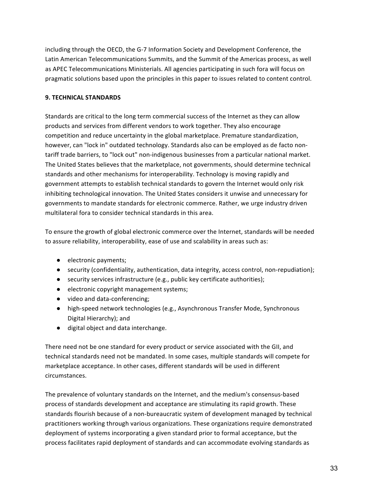including through the OECD, the G-7 Information Society and Development Conference, the Latin American Telecommunications Summits, and the Summit of the Americas process, as well as APEC Telecommunications Ministerials. All agencies participating in such fora will focus on pragmatic solutions based upon the principles in this paper to issues related to content control.

#### **9. TECHNICAL STANDARDS**

Standards are critical to the long term commercial success of the Internet as they can allow products and services from different vendors to work together. They also encourage competition and reduce uncertainty in the global marketplace. Premature standardization, however, can "lock in" outdated technology. Standards also can be employed as de facto nontariff trade barriers, to "lock out" non-indigenous businesses from a particular national market. The United States believes that the marketplace, not governments, should determine technical standards and other mechanisms for interoperability. Technology is moving rapidly and government attempts to establish technical standards to govern the Internet would only risk inhibiting technological innovation. The United States considers it unwise and unnecessary for governments to mandate standards for electronic commerce. Rather, we urge industry driven multilateral fora to consider technical standards in this area.

To ensure the growth of global electronic commerce over the Internet, standards will be needed to assure reliability, interoperability, ease of use and scalability in areas such as:

- electronic payments;
- security (confidentiality, authentication, data integrity, access control, non-repudiation);
- security services infrastructure (e.g., public key certificate authorities);
- electronic copyright management systems;
- video and data-conferencing;
- high-speed network technologies (e.g., Asynchronous Transfer Mode, Synchronous Digital Hierarchy); and
- digital object and data interchange.

There need not be one standard for every product or service associated with the GII, and technical standards need not be mandated. In some cases, multiple standards will compete for marketplace acceptance. In other cases, different standards will be used in different circumstances.

The prevalence of voluntary standards on the Internet, and the medium's consensus-based process of standards development and acceptance are stimulating its rapid growth. These standards flourish because of a non-bureaucratic system of development managed by technical practitioners working through various organizations. These organizations require demonstrated deployment of systems incorporating a given standard prior to formal acceptance, but the process facilitates rapid deployment of standards and can accommodate evolving standards as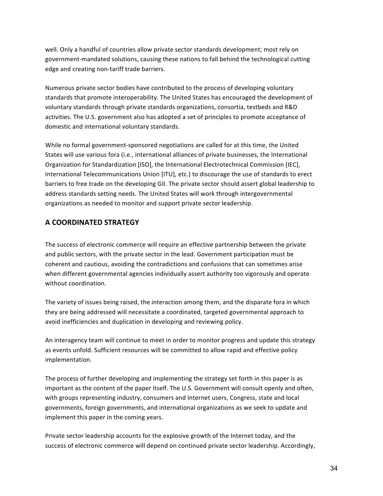well. Only a handful of countries allow private sector standards development; most rely on government-mandated solutions, causing these nations to fall behind the technological cutting edge and creating non-tariff trade barriers.

Numerous private sector bodies have contributed to the process of developing voluntary standards that promote interoperability. The United States has encouraged the development of voluntary standards through private standards organizations, consortia, testbeds and R&D activities. The U.S. government also has adopted a set of principles to promote acceptance of domestic and international voluntary standards.

While no formal government-sponsored negotiations are called for at this time, the United States will use various fora (i.e., international alliances of private businesses, the International Organization for Standardization [ISO], the International Electrotechnical Commission [IEC], International Telecommunications Union [ITU], etc.) to discourage the use of standards to erect barriers to free trade on the developing GII. The private sector should assert global leadership to address standards setting needs. The United States will work through intergovernmental organizations as needed to monitor and support private sector leadership.

### **A COORDINATED STRATEGY**

The success of electronic commerce will require an effective partnership between the private and public sectors, with the private sector in the lead. Government participation must be coherent and cautious, avoiding the contradictions and confusions that can sometimes arise when different governmental agencies individually assert authority too vigorously and operate without coordination.

The variety of issues being raised, the interaction among them, and the disparate fora in which they are being addressed will necessitate a coordinated, targeted governmental approach to avoid inefficiencies and duplication in developing and reviewing policy.

An interagency team will continue to meet in order to monitor progress and update this strategy as events unfold. Sufficient resources will be committed to allow rapid and effective policy implementation.

The process of further developing and implementing the strategy set forth in this paper is as important as the content of the paper itself. The U.S. Government will consult openly and often, with groups representing industry, consumers and Internet users, Congress, state and local governments, foreign governments, and international organizations as we seek to update and implement this paper in the coming years.

Private sector leadership accounts for the explosive growth of the Internet today, and the success of electronic commerce will depend on continued private sector leadership. Accordingly,